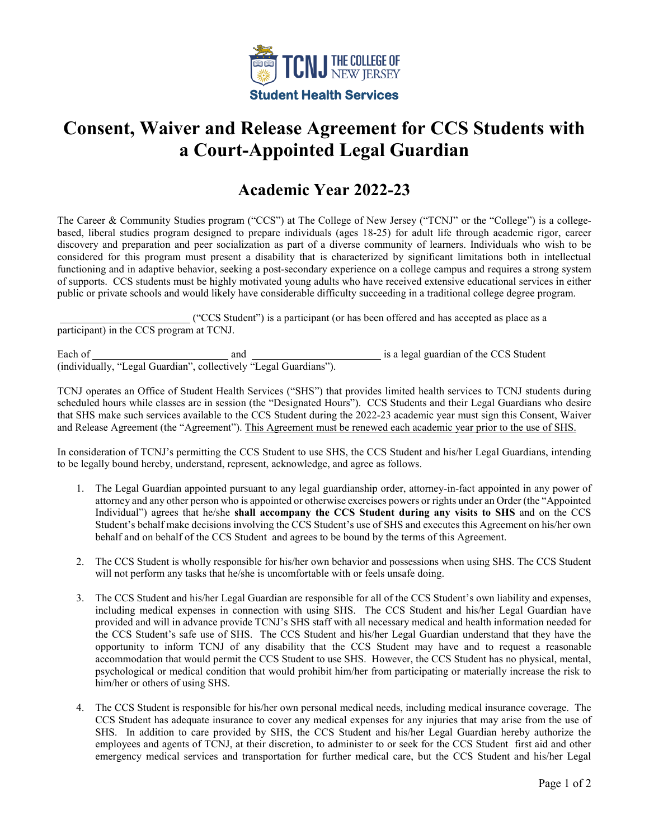

## **Consent, Waiver and Release Agreement for CCS Students with a Court-Appointed Legal Guardian**

## **Academic Year 2022-23**

The Career & Community Studies program ("CCS") at The College of New Jersey ("TCNJ" or the "College") is a collegebased, liberal studies program designed to prepare individuals (ages 18-25) for adult life through academic rigor, career discovery and preparation and peer socialization as part of a diverse community of learners. Individuals who wish to be considered for this program must present a disability that is characterized by significant limitations both in intellectual functioning and in adaptive behavior, seeking a post-secondary experience on a college campus and requires a strong system of supports. CCS students must be highly motivated young adults who have received extensive educational services in either public or private schools and would likely have considerable difficulty succeeding in a traditional college degree program.

 ("CCS Student") is a participant (or has been offered and has accepted as place as a participant) in the CCS program at TCNJ.

Each of and is a legal guardian of the CCS Student (individually, "Legal Guardian", collectively "Legal Guardians").

TCNJ operates an Office of Student Health Services ("SHS") that provides limited health services to TCNJ students during scheduled hours while classes are in session (the "Designated Hours"). CCS Students and their Legal Guardians who desire that SHS make such services available to the CCS Student during the 2022-23 academic year must sign this Consent, Waiver and Release Agreement (the "Agreement"). This Agreement must be renewed each academic year prior to the use of SHS.

In consideration of TCNJ's permitting the CCS Student to use SHS, the CCS Student and his/her Legal Guardians, intending to be legally bound hereby, understand, represent, acknowledge, and agree as follows.

- 1. The Legal Guardian appointed pursuant to any legal guardianship order, attorney-in-fact appointed in any power of attorney and any other person who is appointed or otherwise exercises powers or rights under an Order (the "Appointed Individual") agrees that he/she **shall accompany the CCS Student during any visits to SHS** and on the CCS Student's behalf make decisions involving the CCS Student's use of SHS and executes this Agreement on his/her own behalf and on behalf of the CCS Student and agrees to be bound by the terms of this Agreement.
- 2. The CCS Student is wholly responsible for his/her own behavior and possessions when using SHS. The CCS Student will not perform any tasks that he/she is uncomfortable with or feels unsafe doing.
- 3. The CCS Student and his/her Legal Guardian are responsible for all of the CCS Student's own liability and expenses, including medical expenses in connection with using SHS. The CCS Student and his/her Legal Guardian have provided and will in advance provide TCNJ's SHS staff with all necessary medical and health information needed for the CCS Student's safe use of SHS. The CCS Student and his/her Legal Guardian understand that they have the opportunity to inform TCNJ of any disability that the CCS Student may have and to request a reasonable accommodation that would permit the CCS Student to use SHS. However, the CCS Student has no physical, mental, psychological or medical condition that would prohibit him/her from participating or materially increase the risk to him/her or others of using SHS.
- 4. The CCS Student is responsible for his/her own personal medical needs, including medical insurance coverage. The CCS Student has adequate insurance to cover any medical expenses for any injuries that may arise from the use of SHS. In addition to care provided by SHS, the CCS Student and his/her Legal Guardian hereby authorize the employees and agents of TCNJ, at their discretion, to administer to or seek for the CCS Student first aid and other emergency medical services and transportation for further medical care, but the CCS Student and his/her Legal